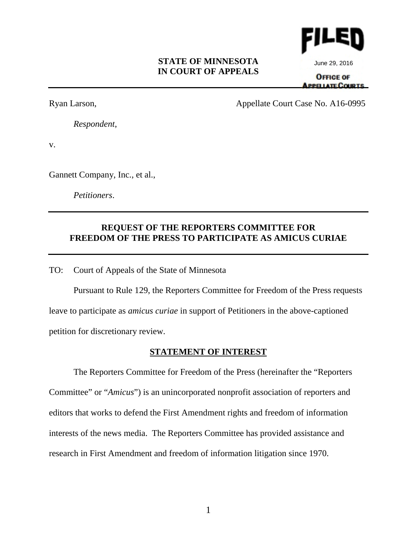### **STATE OF MINNESOTA IN COURT OF APPEALS**



June 29, 2016

**OFFICE OF APPE LATE COURTS** 

Ryan Larson, Appellate Court Case No. A16-0995

*Respondent*,

v.

Gannett Company, Inc., et al.,

*Petitioners*.

# **REQUEST OF THE REPORTERS COMMITTEE FOR FREEDOM OF THE PRESS TO PARTICIPATE AS AMICUS CURIAE**

TO: Court of Appeals of the State of Minnesota

Pursuant to Rule 129, the Reporters Committee for Freedom of the Press requests leave to participate as *amicus curiae* in support of Petitioners in the above-captioned petition for discretionary review.

## **STATEMENT OF INTEREST**

The Reporters Committee for Freedom of the Press (hereinafter the "Reporters Committee" or "*Amicus*") is an unincorporated nonprofit association of reporters and editors that works to defend the First Amendment rights and freedom of information interests of the news media. The Reporters Committee has provided assistance and research in First Amendment and freedom of information litigation since 1970.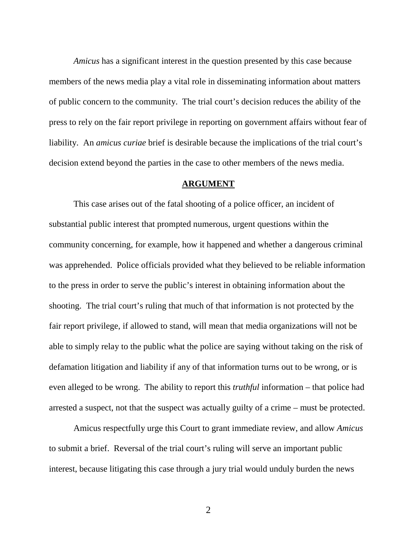*Amicus* has a significant interest in the question presented by this case because members of the news media play a vital role in disseminating information about matters of public concern to the community. The trial court's decision reduces the ability of the press to rely on the fair report privilege in reporting on government affairs without fear of liability. An *amicus curiae* brief is desirable because the implications of the trial court's decision extend beyond the parties in the case to other members of the news media.

### **ARGUMENT**

This case arises out of the fatal shooting of a police officer, an incident of substantial public interest that prompted numerous, urgent questions within the community concerning, for example, how it happened and whether a dangerous criminal was apprehended. Police officials provided what they believed to be reliable information to the press in order to serve the public's interest in obtaining information about the shooting. The trial court's ruling that much of that information is not protected by the fair report privilege, if allowed to stand, will mean that media organizations will not be able to simply relay to the public what the police are saying without taking on the risk of defamation litigation and liability if any of that information turns out to be wrong, or is even alleged to be wrong. The ability to report this *truthful* information – that police had arrested a suspect, not that the suspect was actually guilty of a crime – must be protected.

Amicus respectfully urge this Court to grant immediate review, and allow *Amicus* to submit a brief. Reversal of the trial court's ruling will serve an important public interest, because litigating this case through a jury trial would unduly burden the news

2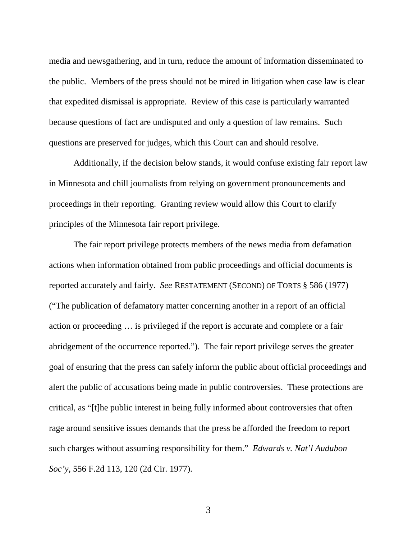media and newsgathering, and in turn, reduce the amount of information disseminated to the public. Members of the press should not be mired in litigation when case law is clear that expedited dismissal is appropriate. Review of this case is particularly warranted because questions of fact are undisputed and only a question of law remains. Such questions are preserved for judges, which this Court can and should resolve.

Additionally, if the decision below stands, it would confuse existing fair report law in Minnesota and chill journalists from relying on government pronouncements and proceedings in their reporting. Granting review would allow this Court to clarify principles of the Minnesota fair report privilege.

The fair report privilege protects members of the news media from defamation actions when information obtained from public proceedings and official documents is reported accurately and fairly. *See* RESTATEMENT (SECOND) OF TORTS § 586 (1977) ("The publication of defamatory matter concerning another in a report of an official action or proceeding … is privileged if the report is accurate and complete or a fair abridgement of the occurrence reported."). The fair report privilege serves the greater goal of ensuring that the press can safely inform the public about official proceedings and alert the public of accusations being made in public controversies. These protections are critical, as "[t]he public interest in being fully informed about controversies that often rage around sensitive issues demands that the press be afforded the freedom to report such charges without assuming responsibility for them." *Edwards v. Nat'l Audubon Soc'y*, 556 F.2d 113, 120 (2d Cir. 1977).

3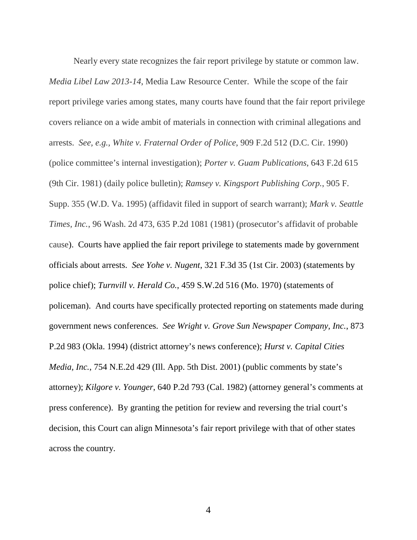Nearly every state recognizes the fair report privilege by statute or common law. *Media Libel Law 2013-14*, Media Law Resource Center. While the scope of the fair report privilege varies among states, many courts have found that the fair report privilege covers reliance on a wide ambit of materials in connection with criminal allegations and arrests. *See, e.g., White v. Fraternal Order of Police*, 909 F.2d 512 (D.C. Cir. 1990) (police committee's internal investigation); *Porter v. Guam Publications*, 643 F.2d 615 (9th Cir. 1981) (daily police bulletin); *Ramsey v. Kingsport Publishing Corp.*, 905 F. Supp. 355 (W.D. Va. 1995) (affidavit filed in support of search warrant); *Mark v. Seattle Times, Inc.*, 96 Wash. 2d 473, 635 P.2d 1081 (1981) (prosecutor's affidavit of probable cause). Courts have applied the fair report privilege to statements made by government officials about arrests. *See Yohe v. Nugent*, 321 F.3d 35 (1st Cir. 2003) (statements by police chief); *Turnvill v. Herald Co.*, 459 S.W.2d 516 (Mo. 1970) (statements of policeman). And courts have specifically protected reporting on statements made during government news conferences. *See Wright v. Grove Sun Newspaper Company, Inc.*, 873 P.2d 983 (Okla. 1994) (district attorney's news conference); *Hurst v. Capital Cities Media, Inc.*, 754 N.E.2d 429 (Ill. App. 5th Dist. 2001) (public comments by state's attorney); *Kilgore v. Younger*, 640 P.2d 793 (Cal. 1982) (attorney general's comments at press conference). By granting the petition for review and reversing the trial court's decision, this Court can align Minnesota's fair report privilege with that of other states across the country.

4